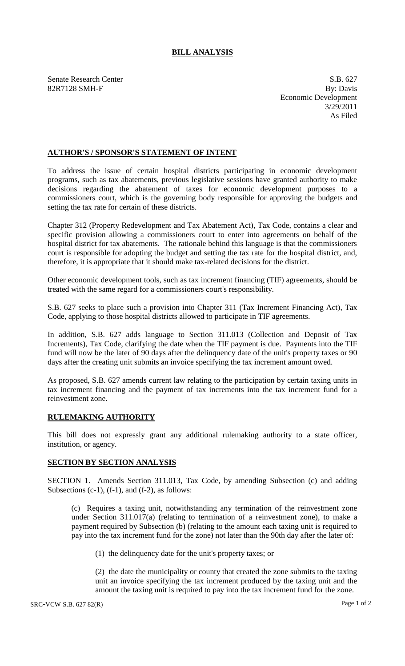## **BILL ANALYSIS**

Senate Research Center S.B. 627

82R7128 SMH-F By: Davis Economic Development 3/29/2011 As Filed

## **AUTHOR'S / SPONSOR'S STATEMENT OF INTENT**

To address the issue of certain hospital districts participating in economic development programs, such as tax abatements, previous legislative sessions have granted authority to make decisions regarding the abatement of taxes for economic development purposes to a commissioners court, which is the governing body responsible for approving the budgets and setting the tax rate for certain of these districts.

Chapter 312 (Property Redevelopment and Tax Abatement Act), Tax Code, contains a clear and specific provision allowing a commissioners court to enter into agreements on behalf of the hospital district for tax abatements. The rationale behind this language is that the commissioners court is responsible for adopting the budget and setting the tax rate for the hospital district, and, therefore, it is appropriate that it should make tax-related decisions for the district.

Other economic development tools, such as tax increment financing (TIF) agreements, should be treated with the same regard for a commissioners court's responsibility.

S.B. 627 seeks to place such a provision into Chapter 311 (Tax Increment Financing Act), Tax Code, applying to those hospital districts allowed to participate in TIF agreements.

In addition, S.B. 627 adds language to Section 311.013 (Collection and Deposit of Tax Increments), Tax Code, clarifying the date when the TIF payment is due. Payments into the TIF fund will now be the later of 90 days after the delinquency date of the unit's property taxes or 90 days after the creating unit submits an invoice specifying the tax increment amount owed.

As proposed, S.B. 627 amends current law relating to the participation by certain taxing units in tax increment financing and the payment of tax increments into the tax increment fund for a reinvestment zone.

## **RULEMAKING AUTHORITY**

This bill does not expressly grant any additional rulemaking authority to a state officer, institution, or agency.

## **SECTION BY SECTION ANALYSIS**

SECTION 1. Amends Section 311.013, Tax Code, by amending Subsection (c) and adding Subsections  $(c-1)$ ,  $(f-1)$ , and  $(f-2)$ , as follows:

(c) Requires a taxing unit, notwithstanding any termination of the reinvestment zone under Section 311.017(a) (relating to termination of a reinvestment zone), to make a payment required by Subsection (b) (relating to the amount each taxing unit is required to pay into the tax increment fund for the zone) not later than the 90th day after the later of:

(1) the delinquency date for the unit's property taxes; or

(2) the date the municipality or county that created the zone submits to the taxing unit an invoice specifying the tax increment produced by the taxing unit and the amount the taxing unit is required to pay into the tax increment fund for the zone.